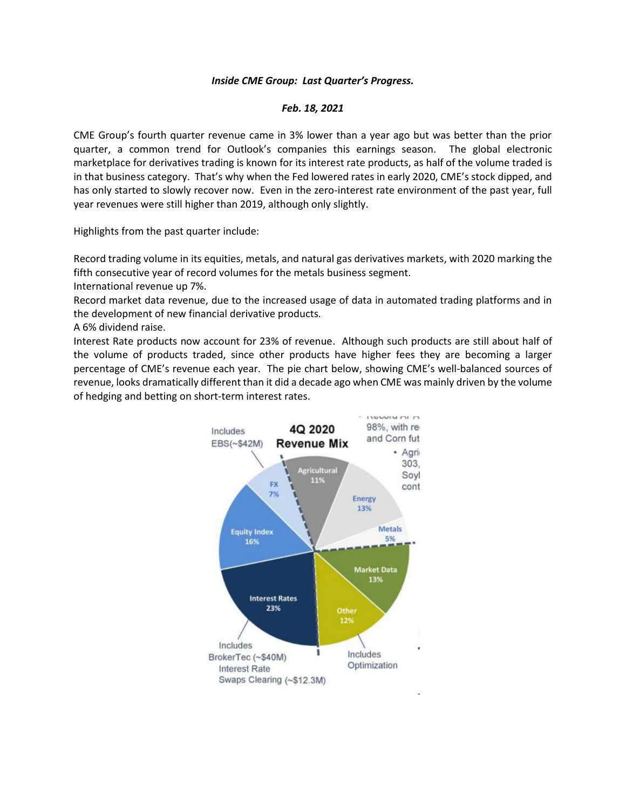## *Inside CME Group: Last Quarter's Progress.*

## *Feb. 18, 2021*

CME Group's fourth quarter revenue came in 3% lower than a year ago but was better than the prior quarter, a common trend for Outlook's companies this earnings season. The global electronic marketplace for derivatives trading is known for its interest rate products, as half of the volume traded is in that business category. That's why when the Fed lowered rates in early 2020, CME's stock dipped, and has only started to slowly recover now. Even in the zero-interest rate environment of the past year, full year revenues were still higher than 2019, although only slightly.

Highlights from the past quarter include:

Record trading volume in its equities, metals, and natural gas derivatives markets, with 2020 marking the fifth consecutive year of record volumes for the metals business segment.

International revenue up 7%.

Record market data revenue, due to the increased usage of data in automated trading platforms and in the development of new financial derivative products.

A 6% dividend raise.

Interest Rate products now account for 23% of revenue. Although such products are still about half of the volume of products traded, since other products have higher fees they are becoming a larger percentage of CME's revenue each year. The pie chart below, showing CME's well-balanced sources of revenue, looks dramatically different than it did a decade ago when CME was mainly driven by the volume of hedging and betting on short-term interest rates.